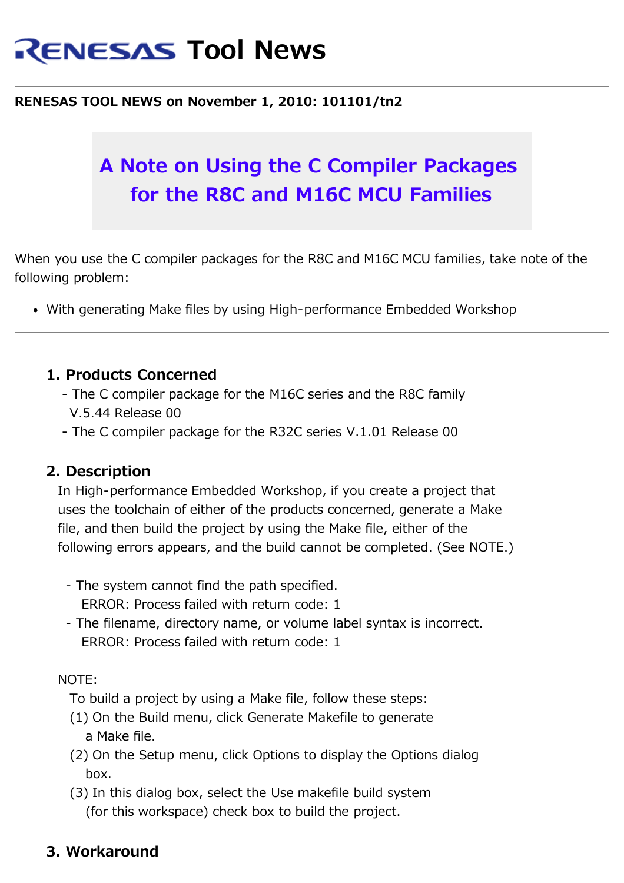# **RENESAS Tool News**

#### **RENESAS TOOL NEWS on November 1, 2010: 101101/tn2**

# **A Note on Using the C Compiler Packages for the R8C and M16C MCU Families**

When you use the C compiler packages for the R8C and M16C MCU families, take note of the following problem:

With generating Make files by using High-performance Embedded Workshop

### **1. Products Concerned**

- The C compiler package for the M16C series and the R8C family V.5.44 Release 00
- The C compiler package for the R32C series V.1.01 Release 00

#### **2. Description**

 In High-performance Embedded Workshop, if you create a project that uses the toolchain of either of the products concerned, generate a Make file, and then build the project by using the Make file, either of the following errors appears, and the build cannot be completed. (See NOTE.)

- The system cannot find the path specified. ERROR: Process failed with return code: 1
- The filename, directory name, or volume label syntax is incorrect. ERROR: Process failed with return code: 1

#### NOTE:

- To build a project by using a Make file, follow these steps:
- (1) On the Build menu, click Generate Makefile to generate a Make file.
- (2) On the Setup menu, click Options to display the Options dialog box.
- (3) In this dialog box, select the Use makefile build system (for this workspace) check box to build the project.

### **3. Workaround**